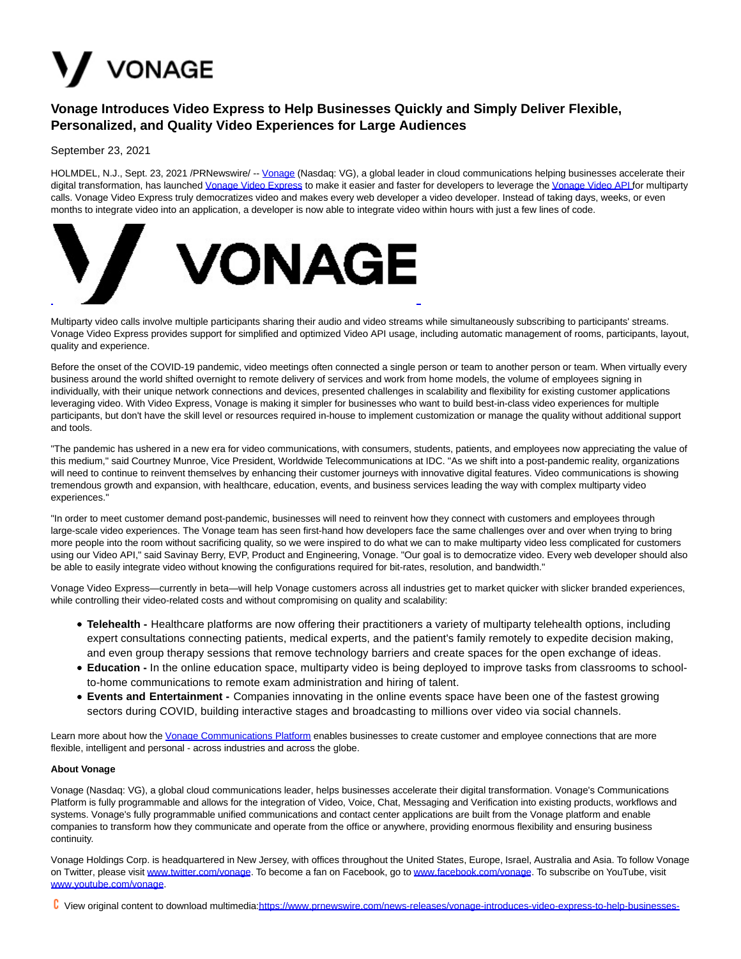## V VONAGE

## **Vonage Introduces Video Express to Help Businesses Quickly and Simply Deliver Flexible, Personalized, and Quality Video Experiences for Large Audiences**

September 23, 2021

HOLMDEL, N.J., Sept. 23, 2021 /PRNewswire/ -- [Vonage \(](https://c212.net/c/link/?t=0&l=en&o=3300304-1&h=344644696&u=https%3A%2F%2Fwww.vonage.com%2F&a=Vonage)Nasdaq: VG), a global leader in cloud communications helping businesses accelerate their digital transformation, has launched [Vonage Video Express t](https://c212.net/c/link/?t=0&l=en&o=3300304-1&h=2178367638&u=https%3A%2F%2Fwww.vonage.com%2Fcommunications-apis%2Fvideo%2Ffeatures%2Fvideo-express%2F&a=Vonage+Video+Express)o make it easier and faster for developers to leverage th[e Vonage Video API fo](https://c212.net/c/link/?t=0&l=en&o=3300304-1&h=2432586439&u=https%3A%2F%2Fwww.vonage.com%2Fcommunications-apis%2Fvideo%2F%3Ficmp%3Dhibox_videoapi_novalue&a=Vonage+Video+API+)r multiparty calls. Vonage Video Express truly democratizes video and makes every web developer a video developer. Instead of taking days, weeks, or even months to integrate video into an application, a developer is now able to integrate video within hours with just a few lines of code.



Multiparty video calls involve multiple participants sharing their audio and video streams while simultaneously subscribing to participants' streams. Vonage Video Express provides support for simplified and optimized Video API usage, including automatic management of rooms, participants, layout, quality and experience.

Before the onset of the COVID-19 pandemic, video meetings often connected a single person or team to another person or team. When virtually every business around the world shifted overnight to remote delivery of services and work from home models, the volume of employees signing in individually, with their unique network connections and devices, presented challenges in scalability and flexibility for existing customer applications leveraging video. With Video Express, Vonage is making it simpler for businesses who want to build best-in-class video experiences for multiple participants, but don't have the skill level or resources required in-house to implement customization or manage the quality without additional support and tools.

"The pandemic has ushered in a new era for video communications, with consumers, students, patients, and employees now appreciating the value of this medium," said Courtney Munroe, Vice President, Worldwide Telecommunications at IDC. "As we shift into a post-pandemic reality, organizations will need to continue to reinvent themselves by enhancing their customer journeys with innovative digital features. Video communications is showing tremendous growth and expansion, with healthcare, education, events, and business services leading the way with complex multiparty video experiences."

"In order to meet customer demand post-pandemic, businesses will need to reinvent how they connect with customers and employees through large-scale video experiences. The Vonage team has seen first-hand how developers face the same challenges over and over when trying to bring more people into the room without sacrificing quality, so we were inspired to do what we can to make multiparty video less complicated for customers using our Video API," said Savinay Berry, EVP, Product and Engineering, Vonage. "Our goal is to democratize video. Every web developer should also be able to easily integrate video without knowing the configurations required for bit-rates, resolution, and bandwidth."

Vonage Video Express—currently in beta—will help Vonage customers across all industries get to market quicker with slicker branded experiences, while controlling their video-related costs and without compromising on quality and scalability:

- **Telehealth** Healthcare platforms are now offering their practitioners a variety of multiparty telehealth options, including expert consultations connecting patients, medical experts, and the patient's family remotely to expedite decision making, and even group therapy sessions that remove technology barriers and create spaces for the open exchange of ideas.
- **Education -** In the online education space, multiparty video is being deployed to improve tasks from classrooms to schoolto-home communications to remote exam administration and hiring of talent.
- **Events and Entertainment** Companies innovating in the online events space have been one of the fastest growing sectors during COVID, building interactive stages and broadcasting to millions over video via social channels.

Learn more about how the [Vonage Communications Platform e](https://c212.net/c/link/?t=0&l=en&o=3300304-1&h=1239284634&u=https%3A%2F%2Fwww.vonage.com%2Fcommunications-apis%2F&a=Vonage+Communications+Platform)nables businesses to create customer and employee connections that are more flexible, intelligent and personal - across industries and across the globe.

## **About Vonage**

Vonage (Nasdaq: VG), a global cloud communications leader, helps businesses accelerate their digital transformation. Vonage's Communications Platform is fully programmable and allows for the integration of Video, Voice, Chat, Messaging and Verification into existing products, workflows and systems. Vonage's fully programmable unified communications and contact center applications are built from the Vonage platform and enable companies to transform how they communicate and operate from the office or anywhere, providing enormous flexibility and ensuring business continuity.

Vonage Holdings Corp. is headquartered in New Jersey, with offices throughout the United States, Europe, Israel, Australia and Asia. To follow Vonage on Twitter, please visit [www.twitter.com/vonage.](https://c212.net/c/link/?t=0&l=en&o=3300304-1&h=783477918&u=http%3A%2F%2Fwww.twitter.com%2Fvonage&a=www.twitter.com%2Fvonage) To become a fan on Facebook, go t[o www.facebook.com/vonage.](https://c212.net/c/link/?t=0&l=en&o=3300304-1&h=933433717&u=http%3A%2F%2Fwww.facebook.com%2Fvonage&a=www.facebook.com%2Fvonage) To subscribe on YouTube, visit [www.youtube.com/vonage.](https://c212.net/c/link/?t=0&l=en&o=3300304-1&h=1904453705&u=http%3A%2F%2Fwww.youtube.com%2Fvonage&a=www.youtube.com%2Fvonage)

View original content to download multimedia[:https://www.prnewswire.com/news-releases/vonage-introduces-video-express-to-help-businesses-](https://www.prnewswire.com/news-releases/vonage-introduces-video-express-to-help-businesses-quickly-and-simply-deliver-flexible-personalized-and-quality-video-experiences-for-large-audiences-301383920.html)